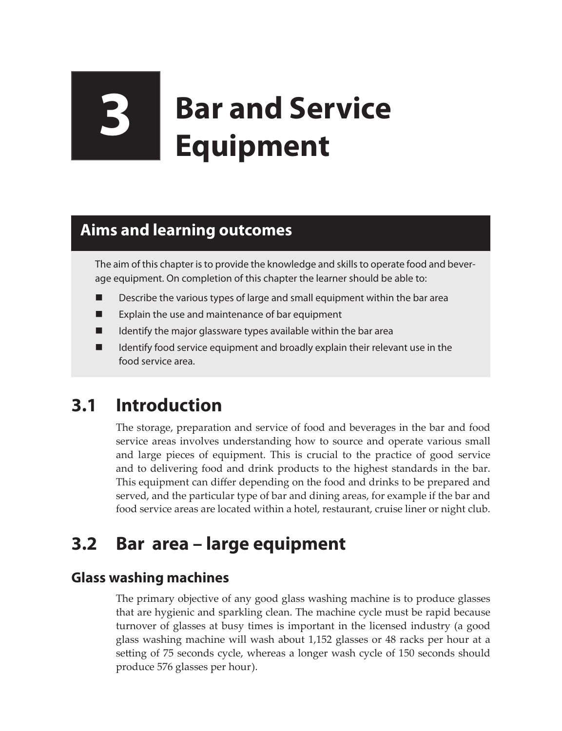# **3 Bar and Service Equipment**

## **Aims and learning outcomes**

The aim of this chapter is to provide the knowledge and skills to operate food and beverage equipment. On completion of this chapter the learner should be able to:

- Describe the various types of large and small equipment within the bar area
- **EXPLA** Explain the use and maintenance of bar equipment
- $\blacksquare$  Identify the major glassware types available within the bar area
- Identify food service equipment and broadly explain their relevant use in the food service area.

# **3.1 Introduction**

The storage, preparation and service of food and beverages in the bar and food service areas involves understanding how to source and operate various small and large pieces of equipment. This is crucial to the practice of good service and to delivering food and drink products to the highest standards in the bar. This equipment can differ depending on the food and drinks to be prepared and served, and the particular type of bar and dining areas, for example if the bar and food service areas are located within a hotel, restaurant, cruise liner or night club.

# **3.2 Bar area – large equipment**

## **Glass washing machines**

The primary objective of any good glass washing machine is to produce glasses that are hygienic and sparkling clean. The machine cycle must be rapid because turnover of glasses at busy times is important in the licensed industry (a good glass washing machine will wash about 1,152 glasses or 48 racks per hour at a setting of 75 seconds cycle, whereas a longer wash cycle of 150 seconds should produce 576 glasses per hour).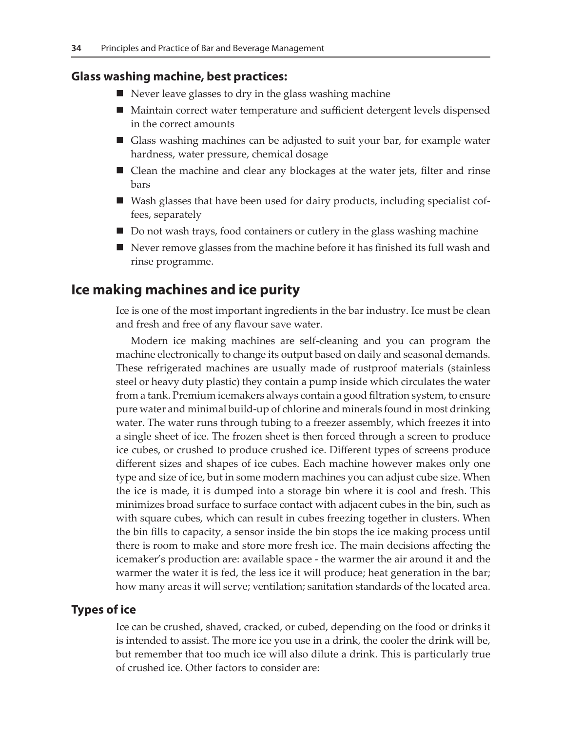#### **Glass washing machine, best practices:**

- $\blacksquare$  Never leave glasses to dry in the glass washing machine
- Maintain correct water temperature and sufficient detergent levels dispensed in the correct amounts
- Glass washing machines can be adjusted to suit your bar, for example water hardness, water pressure, chemical dosage
- Clean the machine and clear any blockages at the water jets, filter and rinse bars
- Wash glasses that have been used for dairy products, including specialist coffees, separately
- Do not wash trays, food containers or cutlery in the glass washing machine
- Never remove glasses from the machine before it has finished its full wash and rinse programme.

### **Ice making machines and ice purity**

Ice is one of the most important ingredients in the bar industry. Ice must be clean and fresh and free of any flavour save water.

Modern ice making machines are self-cleaning and you can program the machine electronically to change its output based on daily and seasonal demands. These refrigerated machines are usually made of rustproof materials (stainless steel or heavy duty plastic) they contain a pump inside which circulates the water from a tank. Premium icemakers always contain a good filtration system, to ensure pure water and minimal build-up of chlorine and minerals found in most drinking water. The water runs through tubing to a freezer assembly, which freezes it into a single sheet of ice. The frozen sheet is then forced through a screen to produce ice cubes, or crushed to produce crushed ice. Different types of screens produce different sizes and shapes of ice cubes. Each machine however makes only one type and size of ice, but in some modern machines you can adjust cube size. When the ice is made, it is dumped into a storage bin where it is cool and fresh. This minimizes broad surface to surface contact with adjacent cubes in the bin, such as with square cubes, which can result in cubes freezing together in clusters. When the bin fills to capacity, a sensor inside the bin stops the ice making process until there is room to make and store more fresh ice. The main decisions affecting the icemaker's production are: available space - the warmer the air around it and the warmer the water it is fed, the less ice it will produce; heat generation in the bar; how many areas it will serve; ventilation; sanitation standards of the located area.

#### **Types of ice**

Ice can be crushed, shaved, cracked, or cubed, depending on the food or drinks it is intended to assist. The more ice you use in a drink, the cooler the drink will be, but remember that too much ice will also dilute a drink. This is particularly true of crushed ice. Other factors to consider are: